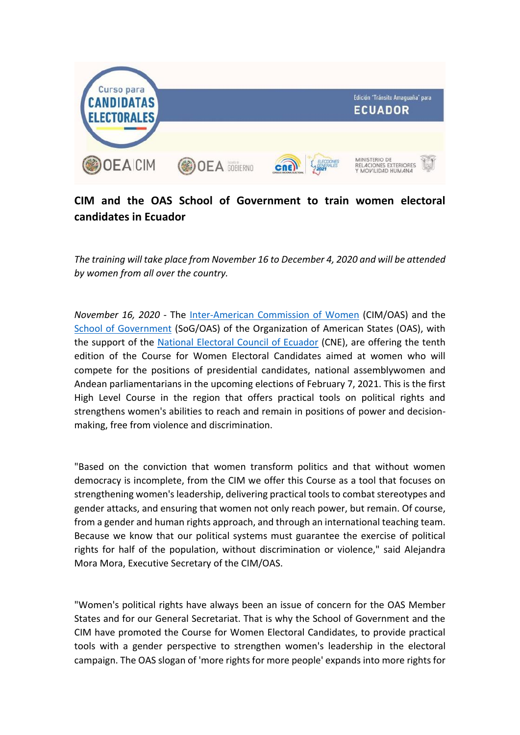

## **CIM and the OAS School of Government to train women electoral candidates in Ecuador**

*The training will take place from November 16 to December 4, 2020 and will be attended by women from all over the country.*

*November 16, 2020* - The [Inter-American Commission of Women](http://www.oas.org/en/cim/default.asp) (CIM/OAS) and the [School of Government](http://www.oas.org/en/spa/depm/escuelagob/) (SoG/OAS) of the Organization of American States (OAS), with the support of the [National Electoral Council of Ecuador](http://cne.gob.ec/es/) (CNE), are offering the tenth edition of the Course for Women Electoral Candidates aimed at women who will compete for the positions of presidential candidates, national assemblywomen and Andean parliamentarians in the upcoming elections of February 7, 2021. This is the first High Level Course in the region that offers practical tools on political rights and strengthens women's abilities to reach and remain in positions of power and decisionmaking, free from violence and discrimination.

"Based on the conviction that women transform politics and that without women democracy is incomplete, from the CIM we offer this Course as a tool that focuses on strengthening women's leadership, delivering practical tools to combat stereotypes and gender attacks, and ensuring that women not only reach power, but remain. Of course, from a gender and human rights approach, and through an international teaching team. Because we know that our political systems must guarantee the exercise of political rights for half of the population, without discrimination or violence," said Alejandra Mora Mora, Executive Secretary of the CIM/OAS.

"Women's political rights have always been an issue of concern for the OAS Member States and for our General Secretariat. That is why the School of Government and the CIM have promoted the Course for Women Electoral Candidates, to provide practical tools with a gender perspective to strengthen women's leadership in the electoral campaign. The OAS slogan of 'more rights for more people' expands into more rights for